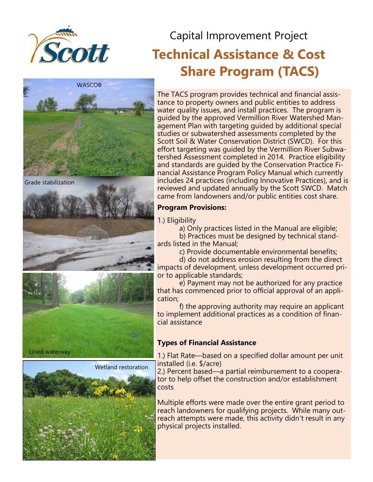

# Capital Improvement Project **Technical Assistance & Cost Share Program (TACS)**



Grade stabilization





The TACS program provides technical and financial assistance to property owners and public entities to address water quality issues, and install practices. The program is guided by the approved Vermillion River Watershed Management Plan with targeting guided by additional special studies or subwatershed assessments completed by the Scott Soil & Water Conservation District (SWCD). For this effort targeting was guided by the Vermillion River Subwatershed Assessment completed in 2014. Practice eligibility and standards are guided by the Conservation Practice Financial Assistance Program Policy Manual which currently includes 24 practices (including Innovative Practices), and is reviewed and updated annually by the Scott SWCD. Match came from landowners and/or public entities cost share.

### **Program Provisions:**

1.) Eligibility

a) Only practices listed in the Manual are eligible; b) Practices must be designed by technical standards listed in the Manual;

c) Provide documentable environmental benefits;

d) do not address erosion resulting from the direct impacts of development, unless development occurred prior to applicable standards;

e) Payment may not be authorized for any practice that has commenced prior to official approval of an application;

f) the approving authority may require an applicant to implement additional practices as a condition of financial assistance

#### **Types of Financial Assistance**

1.) Flat Rate—based on a specified dollar amount per unit installed (i.e. \$/acre)

2.) Percent based—a partial reimbursement to a cooperator to help offset the construction and/or establishment costs

Multiple efforts were made over the entire grant period to reach landowners for qualifying projects. While many outreach attempts were made, this activity didn't result in any physical projects installed.